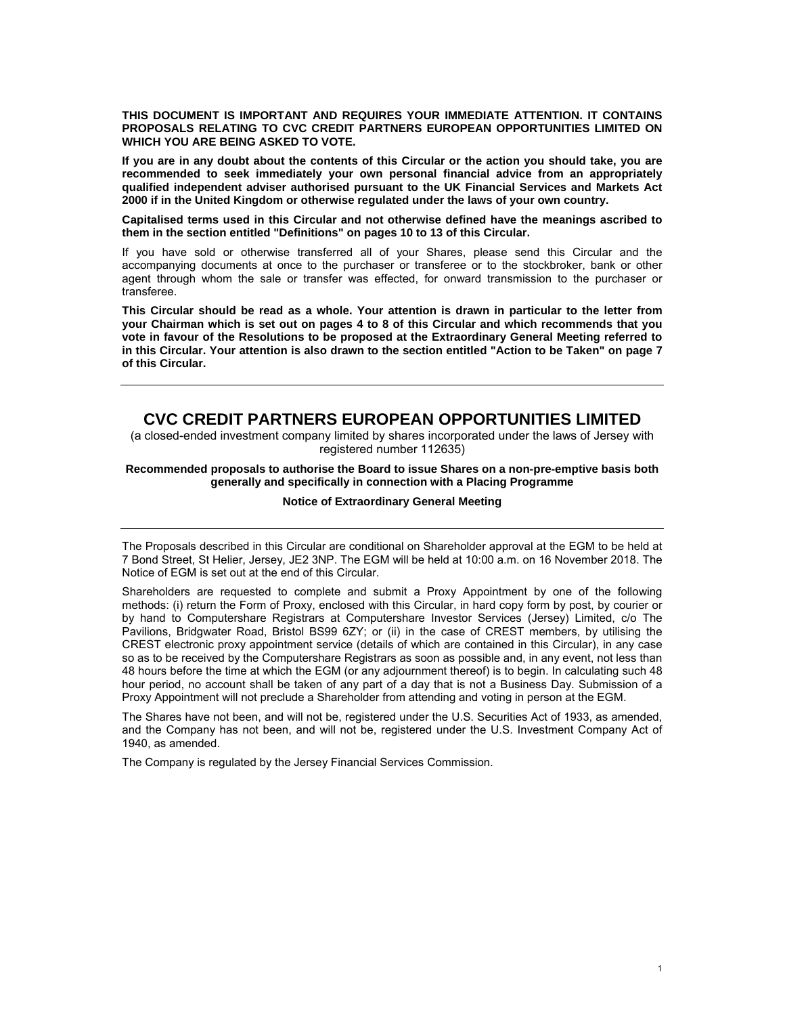**THIS DOCUMENT IS IMPORTANT AND REQUIRES YOUR IMMEDIATE ATTENTION. IT CONTAINS PROPOSALS RELATING TO CVC CREDIT PARTNERS EUROPEAN OPPORTUNITIES LIMITED ON WHICH YOU ARE BEING ASKED TO VOTE.** 

**If you are in any doubt about the contents of this Circular or the action you should take, you are recommended to seek immediately your own personal financial advice from an appropriately qualified independent adviser authorised pursuant to the UK Financial Services and Markets Act 2000 if in the United Kingdom or otherwise regulated under the laws of your own country.** 

**Capitalised terms used in this Circular and not otherwise defined have the meanings ascribed to them in the section entitled "Definitions" on pages 10 to 13 of this Circular.** 

If you have sold or otherwise transferred all of your Shares, please send this Circular and the accompanying documents at once to the purchaser or transferee or to the stockbroker, bank or other agent through whom the sale or transfer was effected, for onward transmission to the purchaser or transferee.

**This Circular should be read as a whole. Your attention is drawn in particular to the letter from your Chairman which is set out on pages 4 to 8 of this Circular and which recommends that you vote in favour of the Resolutions to be proposed at the Extraordinary General Meeting referred to in this Circular. Your attention is also drawn to the section entitled "Action to be Taken" on page 7 of this Circular.** 

# **CVC CREDIT PARTNERS EUROPEAN OPPORTUNITIES LIMITED**

(a closed-ended investment company limited by shares incorporated under the laws of Jersey with registered number 112635)

#### **Recommended proposals to authorise the Board to issue Shares on a non-pre-emptive basis both generally and specifically in connection with a Placing Programme**

#### **Notice of Extraordinary General Meeting**

The Proposals described in this Circular are conditional on Shareholder approval at the EGM to be held at 7 Bond Street, St Helier, Jersey, JE2 3NP. The EGM will be held at 10:00 a.m. on 16 November 2018. The Notice of EGM is set out at the end of this Circular.

Shareholders are requested to complete and submit a Proxy Appointment by one of the following methods: (i) return the Form of Proxy, enclosed with this Circular, in hard copy form by post, by courier or by hand to Computershare Registrars at Computershare Investor Services (Jersey) Limited, c/o The Pavilions, Bridgwater Road, Bristol BS99 6ZY; or (ii) in the case of CREST members, by utilising the CREST electronic proxy appointment service (details of which are contained in this Circular), in any case so as to be received by the Computershare Registrars as soon as possible and, in any event, not less than 48 hours before the time at which the EGM (or any adjournment thereof) is to begin. In calculating such 48 hour period, no account shall be taken of any part of a day that is not a Business Day. Submission of a Proxy Appointment will not preclude a Shareholder from attending and voting in person at the EGM.

The Shares have not been, and will not be, registered under the U.S. Securities Act of 1933, as amended, and the Company has not been, and will not be, registered under the U.S. Investment Company Act of 1940, as amended.

The Company is regulated by the Jersey Financial Services Commission.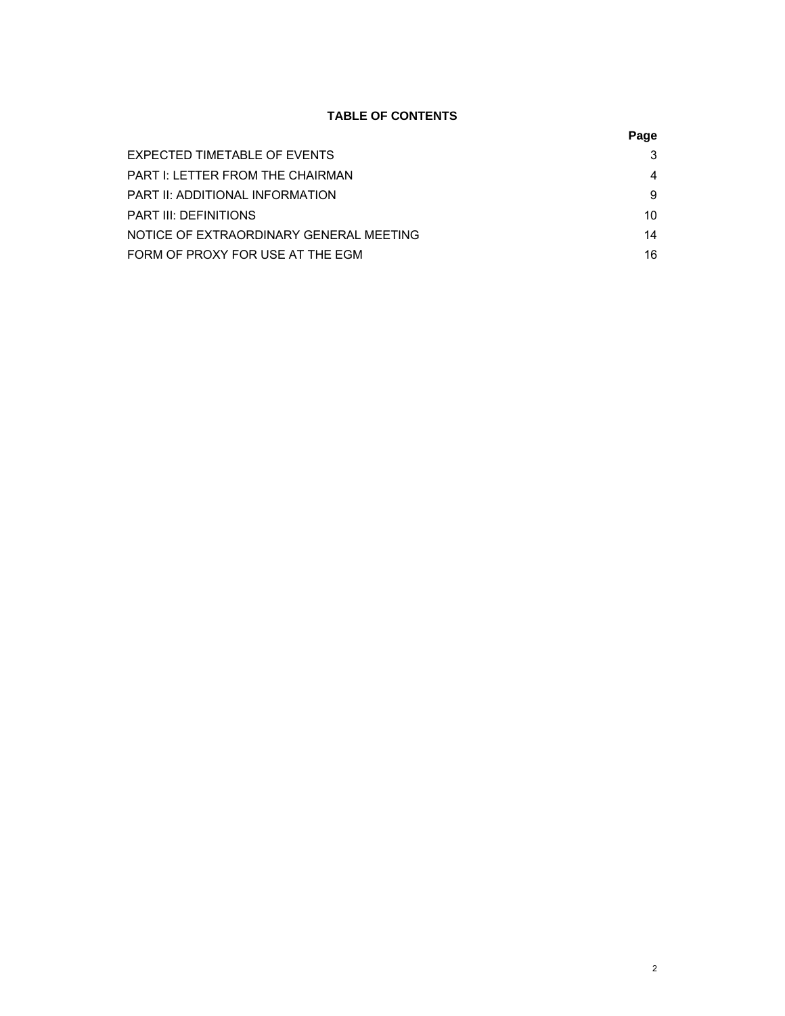# **TABLE OF CONTENTS**

## **Page State State State State State State State State State State State State State State State State State St**

| EXPECTED TIMETABLE OF EVENTS            | 3  |
|-----------------------------------------|----|
| <b>PART I: LETTER FROM THE CHAIRMAN</b> |    |
| PART II: ADDITIONAL INFORMATION         | 9  |
| PART III: DEFINITIONS                   | 10 |
| NOTICE OF EXTRAORDINARY GENERAL MEETING | 14 |
| FORM OF PROXY FOR USE AT THE EGM        | 16 |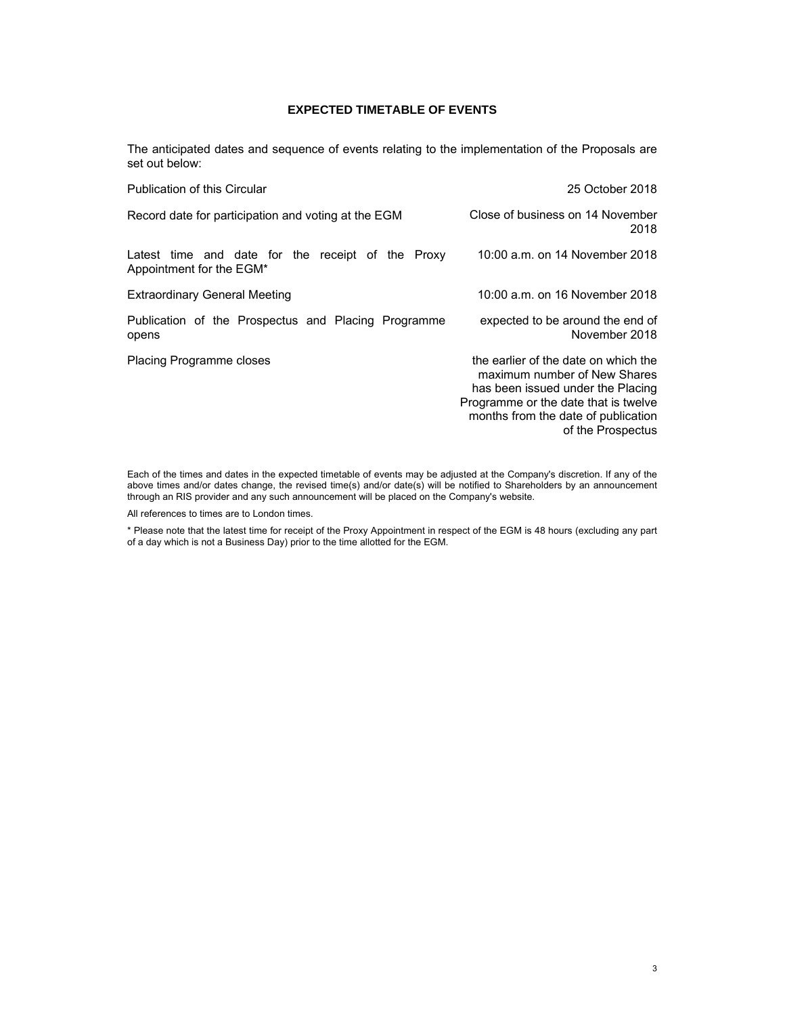## **EXPECTED TIMETABLE OF EVENTS**

The anticipated dates and sequence of events relating to the implementation of the Proposals are set out below:

| <b>Publication of this Circular</b>                                           | 25 October 2018                                                                                                                                                                                               |
|-------------------------------------------------------------------------------|---------------------------------------------------------------------------------------------------------------------------------------------------------------------------------------------------------------|
| Record date for participation and voting at the EGM                           | Close of business on 14 November<br>2018                                                                                                                                                                      |
| Latest time and date for the receipt of the Proxy<br>Appointment for the EGM* | 10:00 a.m. on 14 November 2018                                                                                                                                                                                |
| <b>Extraordinary General Meeting</b>                                          | 10:00 a.m. on 16 November 2018                                                                                                                                                                                |
| Publication of the Prospectus and Placing Programme<br>opens                  | expected to be around the end of<br>November 2018                                                                                                                                                             |
| <b>Placing Programme closes</b>                                               | the earlier of the date on which the<br>maximum number of New Shares<br>has been issued under the Placing<br>Programme or the date that is twelve<br>months from the date of publication<br>of the Prospectus |

Each of the times and dates in the expected timetable of events may be adjusted at the Company's discretion. If any of the above times and/or dates change, the revised time(s) and/or date(s) will be notified to Shareholders by an announcement through an RIS provider and any such announcement will be placed on the Company's website.

All references to times are to London times.

\* Please note that the latest time for receipt of the Proxy Appointment in respect of the EGM is 48 hours (excluding any part of a day which is not a Business Day) prior to the time allotted for the EGM.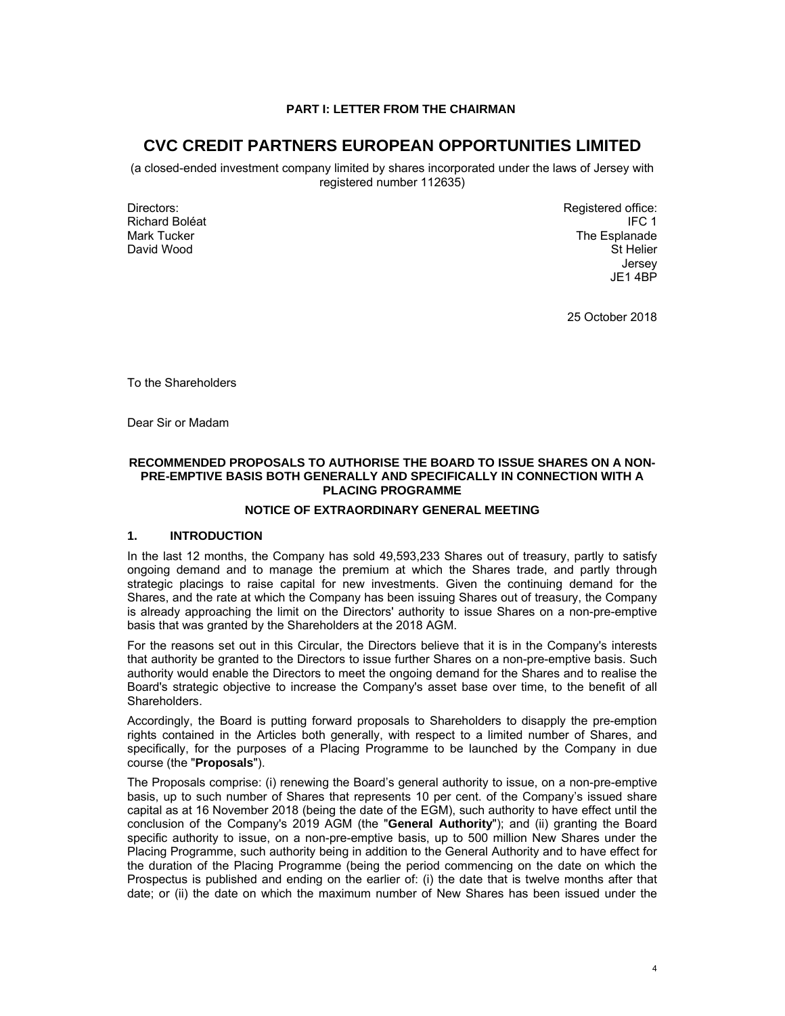## **PART I: LETTER FROM THE CHAIRMAN**

# **CVC CREDIT PARTNERS EUROPEAN OPPORTUNITIES LIMITED**

(a closed-ended investment company limited by shares incorporated under the laws of Jersey with registered number 112635)

Directors: Richard Boléat Mark Tucker David Wood

Registered office: IFC 1 The Esplanade St Helier Jersey JE14BP

25 October 2018

To the Shareholders

Dear Sir or Madam

## **RECOMMENDED PROPOSALS TO AUTHORISE THE BOARD TO ISSUE SHARES ON A NON-PRE-EMPTIVE BASIS BOTH GENERALLY AND SPECIFICALLY IN CONNECTION WITH A PLACING PROGRAMME**

## **NOTICE OF EXTRAORDINARY GENERAL MEETING**

## **1. INTRODUCTION**

In the last 12 months, the Company has sold 49,593,233 Shares out of treasury, partly to satisfy ongoing demand and to manage the premium at which the Shares trade, and partly through strategic placings to raise capital for new investments. Given the continuing demand for the Shares, and the rate at which the Company has been issuing Shares out of treasury, the Company is already approaching the limit on the Directors' authority to issue Shares on a non-pre-emptive basis that was granted by the Shareholders at the 2018 AGM.

For the reasons set out in this Circular, the Directors believe that it is in the Company's interests that authority be granted to the Directors to issue further Shares on a non-pre-emptive basis. Such authority would enable the Directors to meet the ongoing demand for the Shares and to realise the Board's strategic objective to increase the Company's asset base over time, to the benefit of all Shareholders.

Accordingly, the Board is putting forward proposals to Shareholders to disapply the pre-emption rights contained in the Articles both generally, with respect to a limited number of Shares, and specifically, for the purposes of a Placing Programme to be launched by the Company in due course (the "**Proposals**").

The Proposals comprise: (i) renewing the Board's general authority to issue, on a non-pre-emptive basis, up to such number of Shares that represents 10 per cent. of the Company's issued share capital as at 16 November 2018 (being the date of the EGM), such authority to have effect until the conclusion of the Company's 2019 AGM (the "**General Authority**"); and (ii) granting the Board specific authority to issue, on a non-pre-emptive basis, up to 500 million New Shares under the Placing Programme, such authority being in addition to the General Authority and to have effect for the duration of the Placing Programme (being the period commencing on the date on which the Prospectus is published and ending on the earlier of: (i) the date that is twelve months after that date; or (ii) the date on which the maximum number of New Shares has been issued under the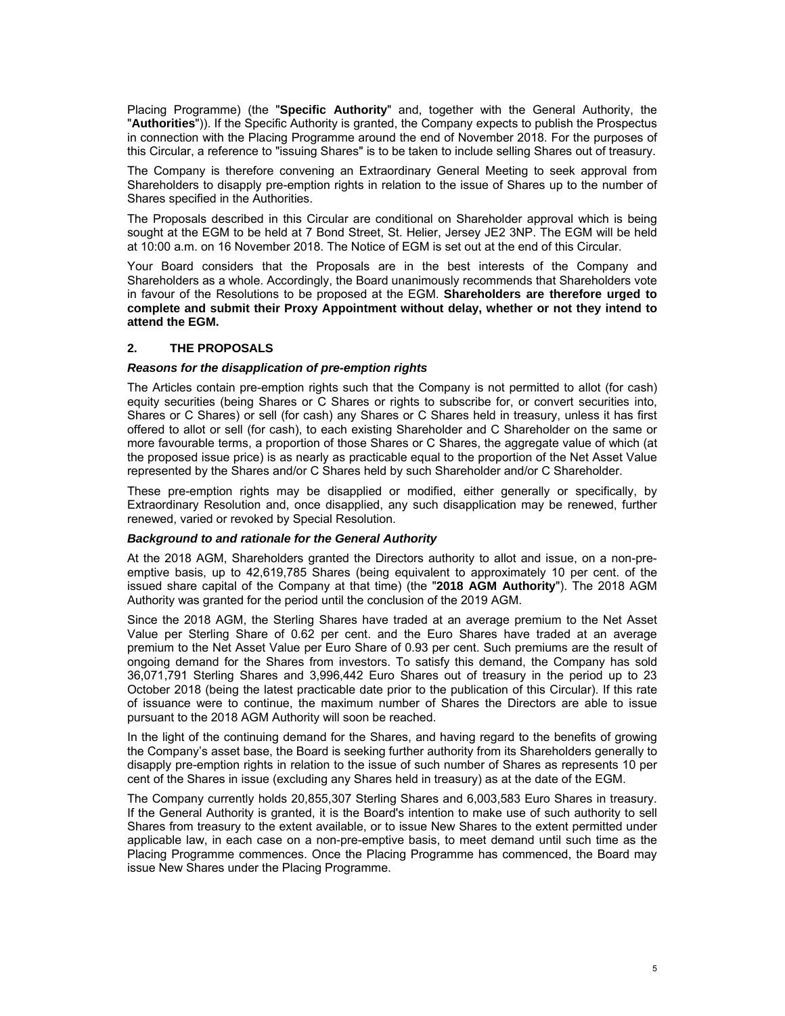Placing Programme) (the "**Specific Authority**" and, together with the General Authority, the "**Authorities**")). If the Specific Authority is granted, the Company expects to publish the Prospectus in connection with the Placing Programme around the end of November 2018. For the purposes of this Circular, a reference to "issuing Shares" is to be taken to include selling Shares out of treasury.

The Company is therefore convening an Extraordinary General Meeting to seek approval from Shareholders to disapply pre-emption rights in relation to the issue of Shares up to the number of Shares specified in the Authorities.

The Proposals described in this Circular are conditional on Shareholder approval which is being sought at the EGM to be held at 7 Bond Street, St. Helier, Jersey JE2 3NP. The EGM will be held at 10:00 a.m. on 16 November 2018. The Notice of EGM is set out at the end of this Circular.

Your Board considers that the Proposals are in the best interests of the Company and Shareholders as a whole. Accordingly, the Board unanimously recommends that Shareholders vote in favour of the Resolutions to be proposed at the EGM. **Shareholders are therefore urged to complete and submit their Proxy Appointment without delay, whether or not they intend to attend the EGM.**

## **2. THE PROPOSALS**

## *Reasons for the disapplication of pre-emption rights*

The Articles contain pre-emption rights such that the Company is not permitted to allot (for cash) equity securities (being Shares or C Shares or rights to subscribe for, or convert securities into, Shares or C Shares) or sell (for cash) any Shares or C Shares held in treasury, unless it has first offered to allot or sell (for cash), to each existing Shareholder and C Shareholder on the same or more favourable terms, a proportion of those Shares or C Shares, the aggregate value of which (at the proposed issue price) is as nearly as practicable equal to the proportion of the Net Asset Value represented by the Shares and/or C Shares held by such Shareholder and/or C Shareholder.

These pre-emption rights may be disapplied or modified, either generally or specifically, by Extraordinary Resolution and, once disapplied, any such disapplication may be renewed, further renewed, varied or revoked by Special Resolution.

## *Background to and rationale for the General Authority*

At the 2018 AGM, Shareholders granted the Directors authority to allot and issue, on a non-preemptive basis, up to 42,619,785 Shares (being equivalent to approximately 10 per cent. of the issued share capital of the Company at that time) (the "**2018 AGM Authority**"). The 2018 AGM Authority was granted for the period until the conclusion of the 2019 AGM.

Since the 2018 AGM, the Sterling Shares have traded at an average premium to the Net Asset Value per Sterling Share of 0.62 per cent. and the Euro Shares have traded at an average premium to the Net Asset Value per Euro Share of 0.93 per cent. Such premiums are the result of ongoing demand for the Shares from investors. To satisfy this demand, the Company has sold 36,071,791 Sterling Shares and 3,996,442 Euro Shares out of treasury in the period up to 23 October 2018 (being the latest practicable date prior to the publication of this Circular). If this rate of issuance were to continue, the maximum number of Shares the Directors are able to issue pursuant to the 2018 AGM Authority will soon be reached.

In the light of the continuing demand for the Shares, and having regard to the benefits of growing the Company's asset base, the Board is seeking further authority from its Shareholders generally to disapply pre-emption rights in relation to the issue of such number of Shares as represents 10 per cent of the Shares in issue (excluding any Shares held in treasury) as at the date of the EGM.

The Company currently holds 20,855,307 Sterling Shares and 6,003,583 Euro Shares in treasury. If the General Authority is granted, it is the Board's intention to make use of such authority to sell Shares from treasury to the extent available, or to issue New Shares to the extent permitted under applicable law, in each case on a non-pre-emptive basis, to meet demand until such time as the Placing Programme commences. Once the Placing Programme has commenced, the Board may issue New Shares under the Placing Programme.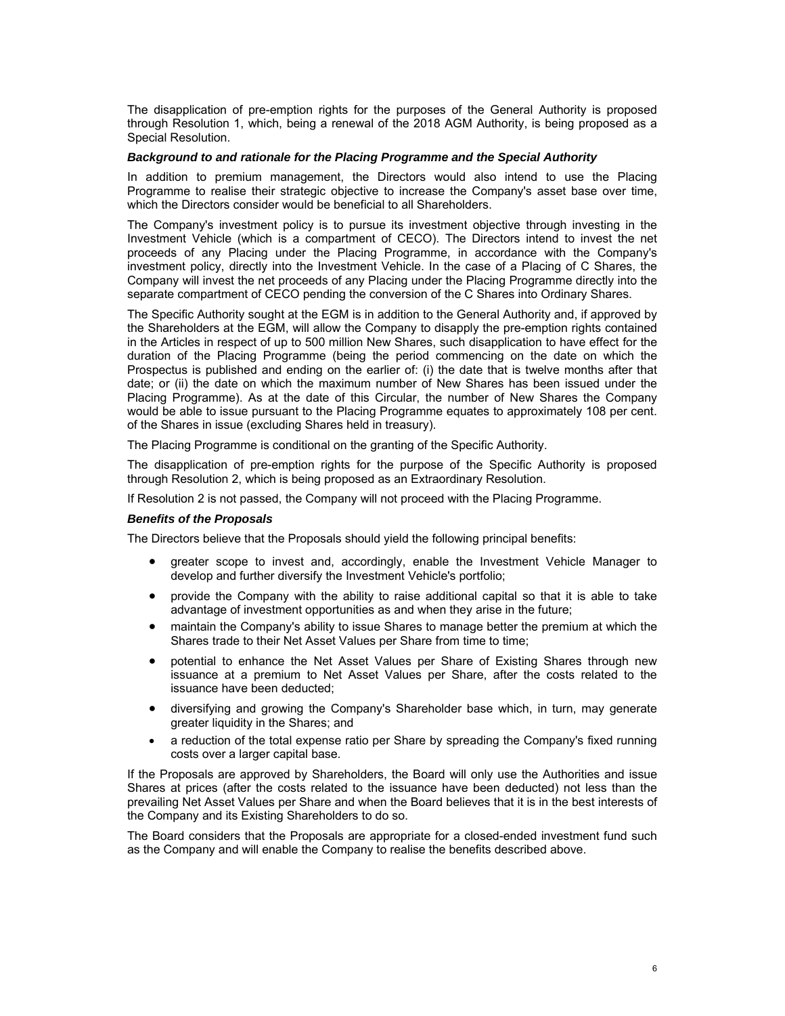The disapplication of pre-emption rights for the purposes of the General Authority is proposed through Resolution 1, which, being a renewal of the 2018 AGM Authority, is being proposed as a Special Resolution.

## *Background to and rationale for the Placing Programme and the Special Authority*

In addition to premium management, the Directors would also intend to use the Placing Programme to realise their strategic objective to increase the Company's asset base over time, which the Directors consider would be beneficial to all Shareholders.

The Company's investment policy is to pursue its investment objective through investing in the Investment Vehicle (which is a compartment of CECO). The Directors intend to invest the net proceeds of any Placing under the Placing Programme, in accordance with the Company's investment policy, directly into the Investment Vehicle. In the case of a Placing of C Shares, the Company will invest the net proceeds of any Placing under the Placing Programme directly into the separate compartment of CECO pending the conversion of the C Shares into Ordinary Shares.

The Specific Authority sought at the EGM is in addition to the General Authority and, if approved by the Shareholders at the EGM, will allow the Company to disapply the pre-emption rights contained in the Articles in respect of up to 500 million New Shares, such disapplication to have effect for the duration of the Placing Programme (being the period commencing on the date on which the Prospectus is published and ending on the earlier of: (i) the date that is twelve months after that date; or (ii) the date on which the maximum number of New Shares has been issued under the Placing Programme). As at the date of this Circular, the number of New Shares the Company would be able to issue pursuant to the Placing Programme equates to approximately 108 per cent. of the Shares in issue (excluding Shares held in treasury).

The Placing Programme is conditional on the granting of the Specific Authority.

The disapplication of pre-emption rights for the purpose of the Specific Authority is proposed through Resolution 2, which is being proposed as an Extraordinary Resolution.

If Resolution 2 is not passed, the Company will not proceed with the Placing Programme.

## *Benefits of the Proposals*

The Directors believe that the Proposals should yield the following principal benefits:

- greater scope to invest and, accordingly, enable the Investment Vehicle Manager to develop and further diversify the Investment Vehicle's portfolio;
- provide the Company with the ability to raise additional capital so that it is able to take advantage of investment opportunities as and when they arise in the future;
- maintain the Company's ability to issue Shares to manage better the premium at which the Shares trade to their Net Asset Values per Share from time to time;
- potential to enhance the Net Asset Values per Share of Existing Shares through new issuance at a premium to Net Asset Values per Share, after the costs related to the issuance have been deducted;
- diversifying and growing the Company's Shareholder base which, in turn, may generate greater liquidity in the Shares; and
- a reduction of the total expense ratio per Share by spreading the Company's fixed running costs over a larger capital base.

If the Proposals are approved by Shareholders, the Board will only use the Authorities and issue Shares at prices (after the costs related to the issuance have been deducted) not less than the prevailing Net Asset Values per Share and when the Board believes that it is in the best interests of the Company and its Existing Shareholders to do so.

The Board considers that the Proposals are appropriate for a closed-ended investment fund such as the Company and will enable the Company to realise the benefits described above.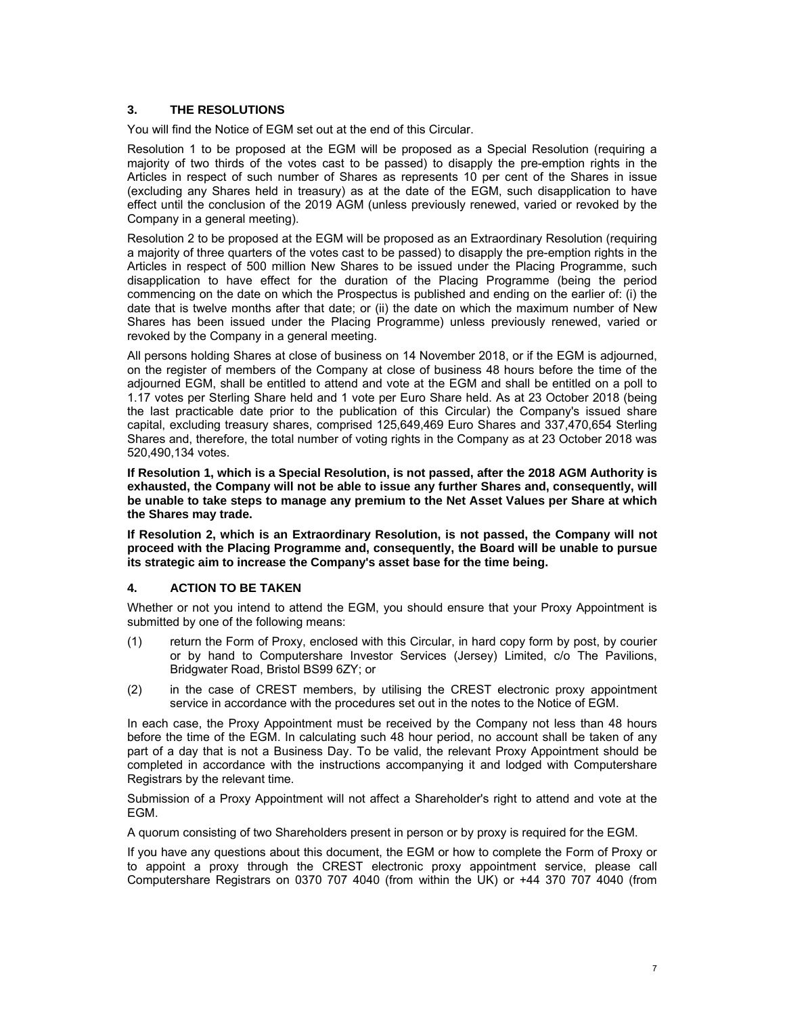## **3. THE RESOLUTIONS**

You will find the Notice of EGM set out at the end of this Circular.

Resolution 1 to be proposed at the EGM will be proposed as a Special Resolution (requiring a majority of two thirds of the votes cast to be passed) to disapply the pre-emption rights in the Articles in respect of such number of Shares as represents 10 per cent of the Shares in issue (excluding any Shares held in treasury) as at the date of the EGM, such disapplication to have effect until the conclusion of the 2019 AGM (unless previously renewed, varied or revoked by the Company in a general meeting).

Resolution 2 to be proposed at the EGM will be proposed as an Extraordinary Resolution (requiring a majority of three quarters of the votes cast to be passed) to disapply the pre-emption rights in the Articles in respect of 500 million New Shares to be issued under the Placing Programme, such disapplication to have effect for the duration of the Placing Programme (being the period commencing on the date on which the Prospectus is published and ending on the earlier of: (i) the date that is twelve months after that date; or (ii) the date on which the maximum number of New Shares has been issued under the Placing Programme) unless previously renewed, varied or revoked by the Company in a general meeting.

All persons holding Shares at close of business on 14 November 2018, or if the EGM is adjourned, on the register of members of the Company at close of business 48 hours before the time of the adjourned EGM, shall be entitled to attend and vote at the EGM and shall be entitled on a poll to 1.17 votes per Sterling Share held and 1 vote per Euro Share held. As at 23 October 2018 (being the last practicable date prior to the publication of this Circular) the Company's issued share capital, excluding treasury shares, comprised 125,649,469 Euro Shares and 337,470,654 Sterling Shares and, therefore, the total number of voting rights in the Company as at 23 October 2018 was 520,490,134 votes.

**If Resolution 1, which is a Special Resolution, is not passed, after the 2018 AGM Authority is exhausted, the Company will not be able to issue any further Shares and, consequently, will be unable to take steps to manage any premium to the Net Asset Values per Share at which the Shares may trade.** 

**If Resolution 2, which is an Extraordinary Resolution, is not passed, the Company will not proceed with the Placing Programme and, consequently, the Board will be unable to pursue its strategic aim to increase the Company's asset base for the time being.** 

## **4. ACTION TO BE TAKEN**

Whether or not you intend to attend the EGM, you should ensure that your Proxy Appointment is submitted by one of the following means:

- (1) return the Form of Proxy, enclosed with this Circular, in hard copy form by post, by courier or by hand to Computershare Investor Services (Jersey) Limited, c/o The Pavilions, Bridgwater Road, Bristol BS99 6ZY; or
- (2) in the case of CREST members, by utilising the CREST electronic proxy appointment service in accordance with the procedures set out in the notes to the Notice of EGM.

In each case, the Proxy Appointment must be received by the Company not less than 48 hours before the time of the EGM. In calculating such 48 hour period, no account shall be taken of any part of a day that is not a Business Day. To be valid, the relevant Proxy Appointment should be completed in accordance with the instructions accompanying it and lodged with Computershare Registrars by the relevant time.

Submission of a Proxy Appointment will not affect a Shareholder's right to attend and vote at the EGM.

A quorum consisting of two Shareholders present in person or by proxy is required for the EGM.

If you have any questions about this document, the EGM or how to complete the Form of Proxy or to appoint a proxy through the CREST electronic proxy appointment service, please call Computershare Registrars on 0370 707 4040 (from within the UK) or +44 370 707 4040 (from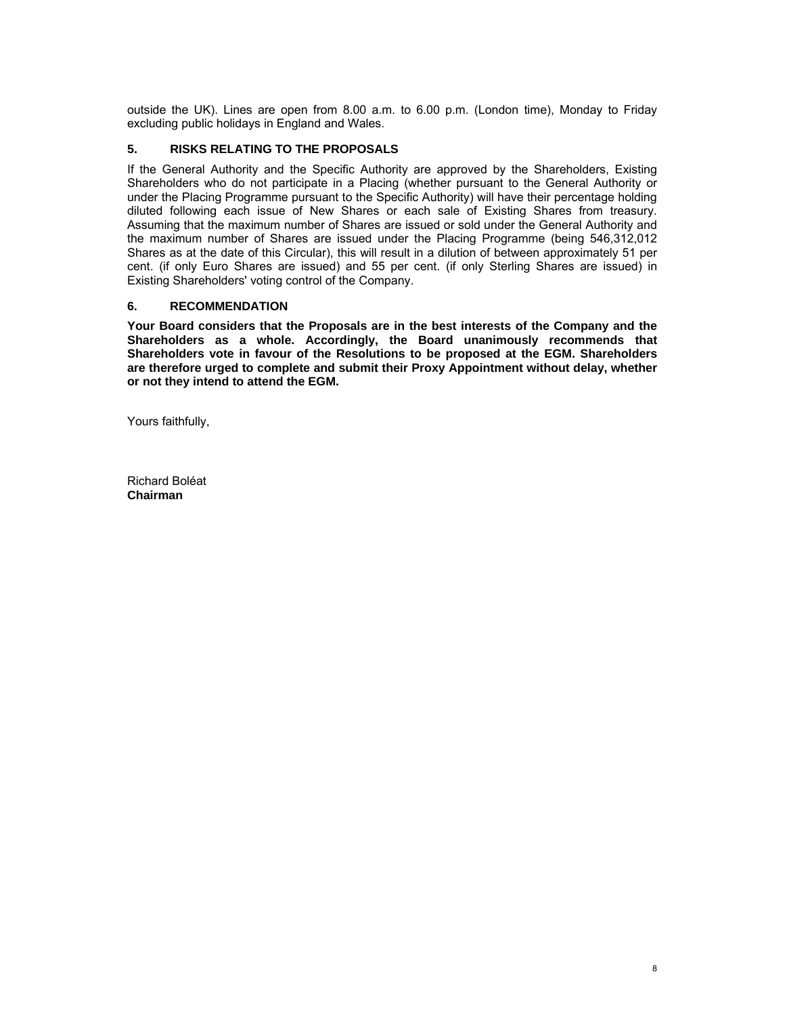outside the UK). Lines are open from 8.00 a.m. to 6.00 p.m. (London time), Monday to Friday excluding public holidays in England and Wales.

## **5. RISKS RELATING TO THE PROPOSALS**

If the General Authority and the Specific Authority are approved by the Shareholders, Existing Shareholders who do not participate in a Placing (whether pursuant to the General Authority or under the Placing Programme pursuant to the Specific Authority) will have their percentage holding diluted following each issue of New Shares or each sale of Existing Shares from treasury. Assuming that the maximum number of Shares are issued or sold under the General Authority and the maximum number of Shares are issued under the Placing Programme (being 546,312,012 Shares as at the date of this Circular), this will result in a dilution of between approximately 51 per cent. (if only Euro Shares are issued) and 55 per cent. (if only Sterling Shares are issued) in Existing Shareholders' voting control of the Company.

## **6. RECOMMENDATION**

**Your Board considers that the Proposals are in the best interests of the Company and the Shareholders as a whole. Accordingly, the Board unanimously recommends that Shareholders vote in favour of the Resolutions to be proposed at the EGM. Shareholders are therefore urged to complete and submit their Proxy Appointment without delay, whether or not they intend to attend the EGM.** 

Yours faithfully,

Richard Boléat **Chairman**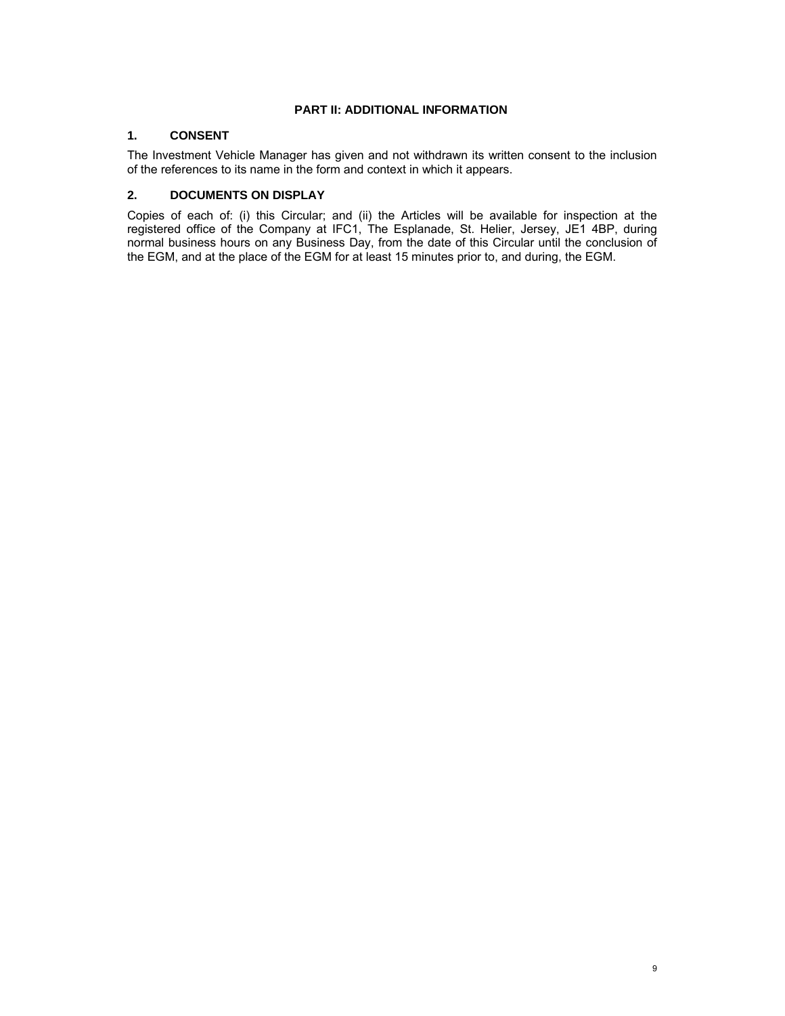## **PART II: ADDITIONAL INFORMATION**

# **1. CONSENT**

The Investment Vehicle Manager has given and not withdrawn its written consent to the inclusion of the references to its name in the form and context in which it appears.

## **2. DOCUMENTS ON DISPLAY**

Copies of each of: (i) this Circular; and (ii) the Articles will be available for inspection at the registered office of the Company at IFC1, The Esplanade, St. Helier, Jersey, JE1 4BP, during normal business hours on any Business Day, from the date of this Circular until the conclusion of the EGM, and at the place of the EGM for at least 15 minutes prior to, and during, the EGM.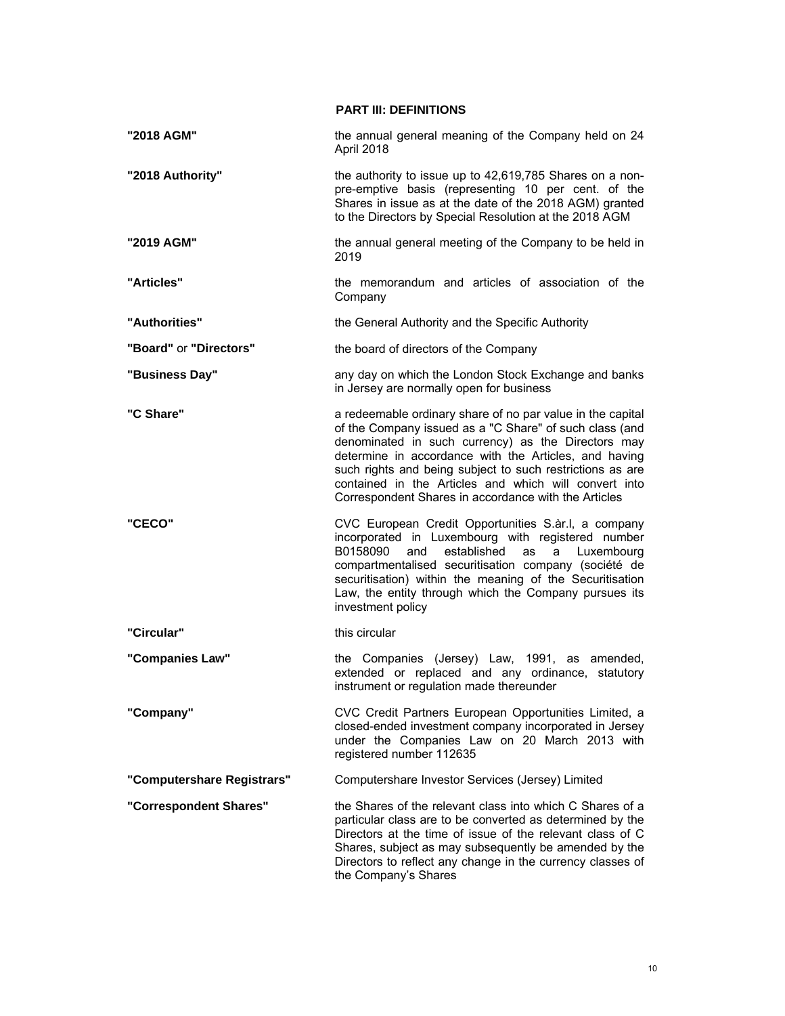**PART III: DEFINITIONS** 

| "2018 AGM"                 | the annual general meaning of the Company held on 24<br>April 2018                                                                                                                                                                                                                                                                                                                                                 |
|----------------------------|--------------------------------------------------------------------------------------------------------------------------------------------------------------------------------------------------------------------------------------------------------------------------------------------------------------------------------------------------------------------------------------------------------------------|
| "2018 Authority"           | the authority to issue up to 42,619,785 Shares on a non-<br>pre-emptive basis (representing 10 per cent. of the<br>Shares in issue as at the date of the 2018 AGM) granted<br>to the Directors by Special Resolution at the 2018 AGM                                                                                                                                                                               |
| "2019 AGM"                 | the annual general meeting of the Company to be held in<br>2019                                                                                                                                                                                                                                                                                                                                                    |
| "Articles"                 | the memorandum and articles of association of the<br>Company                                                                                                                                                                                                                                                                                                                                                       |
| "Authorities"              | the General Authority and the Specific Authority                                                                                                                                                                                                                                                                                                                                                                   |
| "Board" or "Directors"     | the board of directors of the Company                                                                                                                                                                                                                                                                                                                                                                              |
| "Business Day"             | any day on which the London Stock Exchange and banks<br>in Jersey are normally open for business                                                                                                                                                                                                                                                                                                                   |
| "C Share"                  | a redeemable ordinary share of no par value in the capital<br>of the Company issued as a "C Share" of such class (and<br>denominated in such currency) as the Directors may<br>determine in accordance with the Articles, and having<br>such rights and being subject to such restrictions as are<br>contained in the Articles and which will convert into<br>Correspondent Shares in accordance with the Articles |
| "CECO"                     | CVC European Credit Opportunities S.ar.I, a company<br>incorporated in Luxembourg with registered number<br>B0158090<br>established<br>and<br>Luxembourg<br>as<br>a<br>compartmentalised securitisation company (société de<br>securitisation) within the meaning of the Securitisation<br>Law, the entity through which the Company pursues its<br>investment policy                                              |
| "Circular"                 | this circular                                                                                                                                                                                                                                                                                                                                                                                                      |
| "Companies Law"            | the Companies (Jersey) Law, 1991, as amended,<br>extended or replaced and any ordinance,<br>statutory<br>instrument or regulation made thereunder                                                                                                                                                                                                                                                                  |
| "Company"                  | CVC Credit Partners European Opportunities Limited, a<br>closed-ended investment company incorporated in Jersey<br>under the Companies Law on 20 March 2013 with<br>registered number 112635                                                                                                                                                                                                                       |
| "Computershare Registrars" | Computershare Investor Services (Jersey) Limited                                                                                                                                                                                                                                                                                                                                                                   |
| "Correspondent Shares"     | the Shares of the relevant class into which C Shares of a<br>particular class are to be converted as determined by the<br>Directors at the time of issue of the relevant class of C<br>Shares, subject as may subsequently be amended by the<br>Directors to reflect any change in the currency classes of<br>the Company's Shares                                                                                 |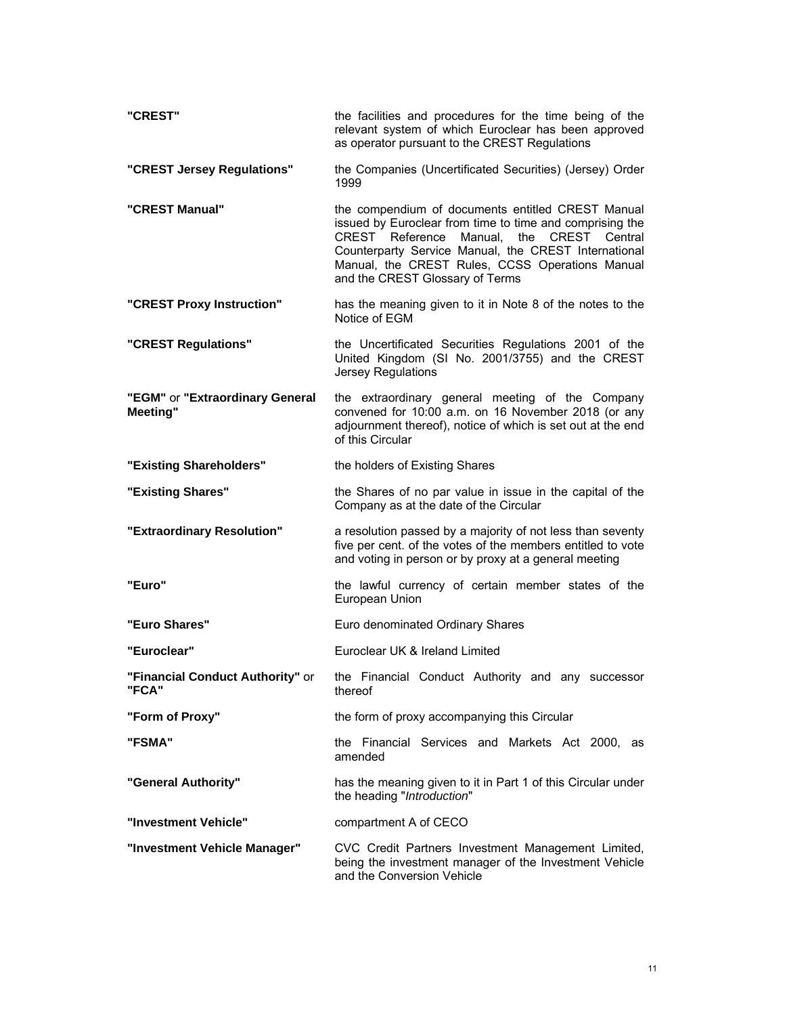| "CREST"                                     | the facilities and procedures for the time being of the<br>relevant system of which Euroclear has been approved<br>as operator pursuant to the CREST Regulations                                                                                                                                                  |  |  |
|---------------------------------------------|-------------------------------------------------------------------------------------------------------------------------------------------------------------------------------------------------------------------------------------------------------------------------------------------------------------------|--|--|
| "CREST Jersey Regulations"                  | the Companies (Uncertificated Securities) (Jersey) Order<br>1999                                                                                                                                                                                                                                                  |  |  |
| "CREST Manual"                              | the compendium of documents entitled CREST Manual<br>issued by Euroclear from time to time and comprising the<br>CREST Reference<br>Manual,<br>CREST Central<br>the<br>Counterparty Service Manual, the CREST International<br>Manual, the CREST Rules, CCSS Operations Manual<br>and the CREST Glossary of Terms |  |  |
| "CREST Proxy Instruction"                   | has the meaning given to it in Note 8 of the notes to the<br>Notice of EGM                                                                                                                                                                                                                                        |  |  |
| "CREST Regulations"                         | the Uncertificated Securities Regulations 2001 of the<br>United Kingdom (SI No. 2001/3755) and the CREST<br>Jersey Regulations                                                                                                                                                                                    |  |  |
| "EGM" or "Extraordinary General<br>Meeting" | the extraordinary general meeting of the Company<br>convened for 10:00 a.m. on 16 November 2018 (or any<br>adjournment thereof), notice of which is set out at the end<br>of this Circular                                                                                                                        |  |  |
| "Existing Shareholders"                     | the holders of Existing Shares                                                                                                                                                                                                                                                                                    |  |  |
| "Existing Shares"                           | the Shares of no par value in issue in the capital of the<br>Company as at the date of the Circular                                                                                                                                                                                                               |  |  |
| "Extraordinary Resolution"                  | a resolution passed by a majority of not less than seventy<br>five per cent. of the votes of the members entitled to vote<br>and voting in person or by proxy at a general meeting                                                                                                                                |  |  |
| "Euro"                                      | the lawful currency of certain member states of the<br>European Union                                                                                                                                                                                                                                             |  |  |
| "Euro Shares"                               | Euro denominated Ordinary Shares                                                                                                                                                                                                                                                                                  |  |  |
| "Euroclear"                                 | Euroclear UK & Ireland Limited                                                                                                                                                                                                                                                                                    |  |  |
| "Financial Conduct Authority" or<br>"FCA"   | the Financial Conduct Authority and any successor<br>thereof                                                                                                                                                                                                                                                      |  |  |
| "Form of Proxy"                             | the form of proxy accompanying this Circular                                                                                                                                                                                                                                                                      |  |  |
| "FSMA"                                      | the Financial Services and Markets Act 2000, as<br>amended                                                                                                                                                                                                                                                        |  |  |
| "General Authority"                         | has the meaning given to it in Part 1 of this Circular under<br>the heading "Introduction"                                                                                                                                                                                                                        |  |  |
| "Investment Vehicle"                        | compartment A of CECO                                                                                                                                                                                                                                                                                             |  |  |
| "Investment Vehicle Manager"                | CVC Credit Partners Investment Management Limited,<br>being the investment manager of the Investment Vehicle<br>and the Conversion Vehicle                                                                                                                                                                        |  |  |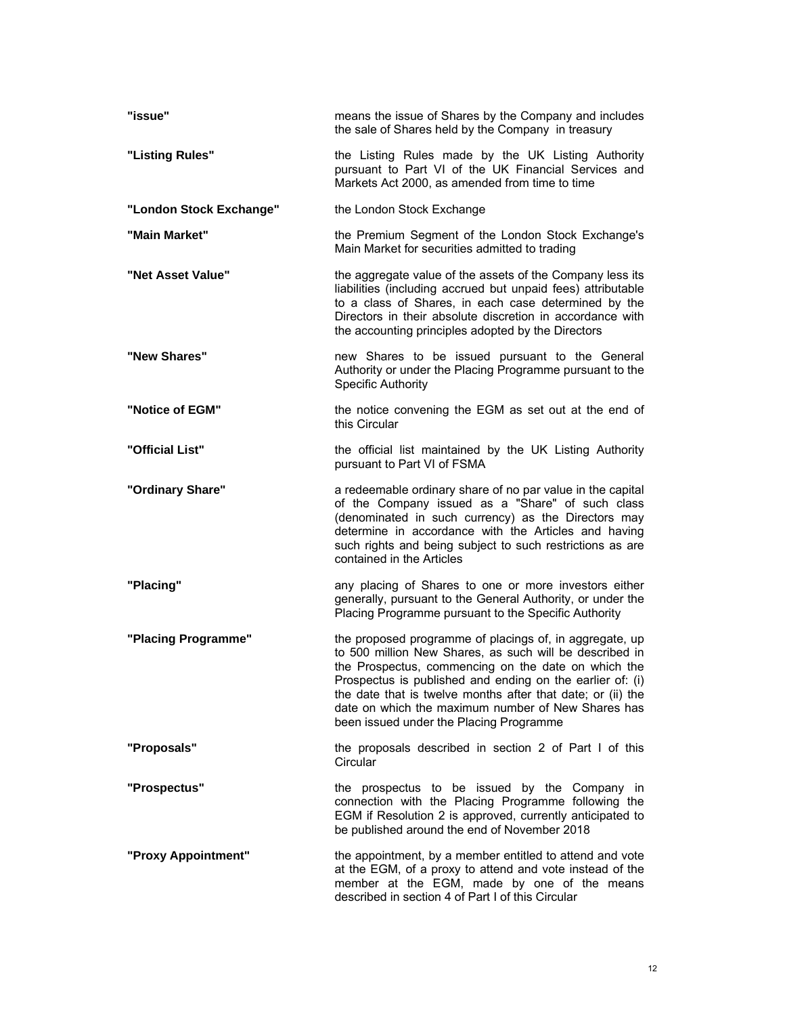| "issue"                 | means the issue of Shares by the Company and includes<br>the sale of Shares held by the Company in treasury                                                                                                                                                                                                                                                                                            |
|-------------------------|--------------------------------------------------------------------------------------------------------------------------------------------------------------------------------------------------------------------------------------------------------------------------------------------------------------------------------------------------------------------------------------------------------|
| "Listing Rules"         | the Listing Rules made by the UK Listing Authority<br>pursuant to Part VI of the UK Financial Services and<br>Markets Act 2000, as amended from time to time                                                                                                                                                                                                                                           |
| "London Stock Exchange" | the London Stock Exchange                                                                                                                                                                                                                                                                                                                                                                              |
| "Main Market"           | the Premium Segment of the London Stock Exchange's<br>Main Market for securities admitted to trading                                                                                                                                                                                                                                                                                                   |
| "Net Asset Value"       | the aggregate value of the assets of the Company less its<br>liabilities (including accrued but unpaid fees) attributable<br>to a class of Shares, in each case determined by the<br>Directors in their absolute discretion in accordance with<br>the accounting principles adopted by the Directors                                                                                                   |
| "New Shares"            | new Shares to be issued pursuant to the General<br>Authority or under the Placing Programme pursuant to the<br><b>Specific Authority</b>                                                                                                                                                                                                                                                               |
| "Notice of EGM"         | the notice convening the EGM as set out at the end of<br>this Circular                                                                                                                                                                                                                                                                                                                                 |
| "Official List"         | the official list maintained by the UK Listing Authority<br>pursuant to Part VI of FSMA                                                                                                                                                                                                                                                                                                                |
| "Ordinary Share"        | a redeemable ordinary share of no par value in the capital<br>of the Company issued as a "Share" of such class<br>(denominated in such currency) as the Directors may<br>determine in accordance with the Articles and having<br>such rights and being subject to such restrictions as are<br>contained in the Articles                                                                                |
| "Placing"               | any placing of Shares to one or more investors either<br>generally, pursuant to the General Authority, or under the<br>Placing Programme pursuant to the Specific Authority                                                                                                                                                                                                                            |
| "Placing Programme"     | the proposed programme of placings of, in aggregate, up<br>to 500 million New Shares, as such will be described in<br>the Prospectus, commencing on the date on which the<br>Prospectus is published and ending on the earlier of: (i)<br>the date that is twelve months after that date; or (ii) the<br>date on which the maximum number of New Shares has<br>been issued under the Placing Programme |
| "Proposals"             | the proposals described in section 2 of Part I of this<br>Circular                                                                                                                                                                                                                                                                                                                                     |
| "Prospectus"            | the prospectus to be issued by the Company in<br>connection with the Placing Programme following the<br>EGM if Resolution 2 is approved, currently anticipated to<br>be published around the end of November 2018                                                                                                                                                                                      |
| "Proxy Appointment"     | the appointment, by a member entitled to attend and vote<br>at the EGM, of a proxy to attend and vote instead of the<br>member at the EGM, made by one of the means<br>described in section 4 of Part I of this Circular                                                                                                                                                                               |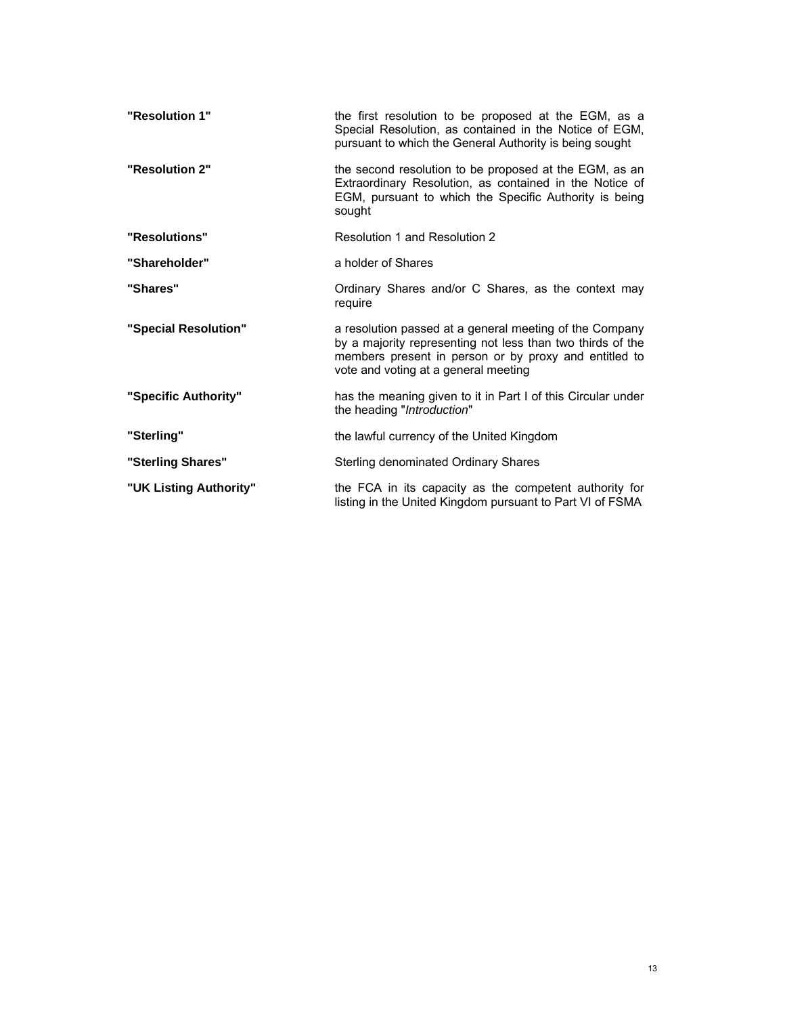| "Resolution 1"         | the first resolution to be proposed at the EGM, as a<br>Special Resolution, as contained in the Notice of EGM,<br>pursuant to which the General Authority is being sought                                              |
|------------------------|------------------------------------------------------------------------------------------------------------------------------------------------------------------------------------------------------------------------|
| "Resolution 2"         | the second resolution to be proposed at the EGM, as an<br>Extraordinary Resolution, as contained in the Notice of<br>EGM, pursuant to which the Specific Authority is being<br>sought                                  |
| "Resolutions"          | Resolution 1 and Resolution 2                                                                                                                                                                                          |
| "Shareholder"          | a holder of Shares                                                                                                                                                                                                     |
| "Shares"               | Ordinary Shares and/or C Shares, as the context may<br>require                                                                                                                                                         |
| "Special Resolution"   | a resolution passed at a general meeting of the Company<br>by a majority representing not less than two thirds of the<br>members present in person or by proxy and entitled to<br>vote and voting at a general meeting |
| "Specific Authority"   | has the meaning given to it in Part I of this Circular under<br>the heading "Introduction"                                                                                                                             |
| "Sterling"             | the lawful currency of the United Kingdom                                                                                                                                                                              |
| "Sterling Shares"      | Sterling denominated Ordinary Shares                                                                                                                                                                                   |
| "UK Listing Authority" | the FCA in its capacity as the competent authority for<br>listing in the United Kingdom pursuant to Part VI of FSMA                                                                                                    |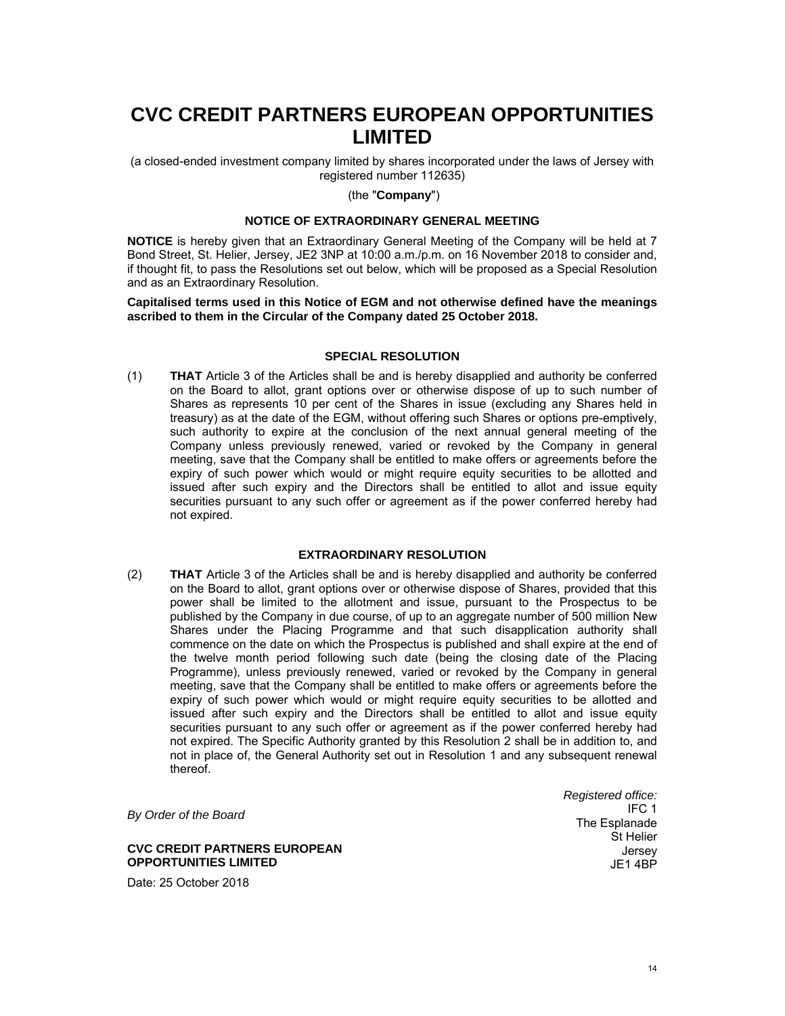# **CVC CREDIT PARTNERS EUROPEAN OPPORTUNITIES LIMITED**

(a closed-ended investment company limited by shares incorporated under the laws of Jersey with registered number 112635)

## (the "**Company**")

## **NOTICE OF EXTRAORDINARY GENERAL MEETING**

**NOTICE** is hereby given that an Extraordinary General Meeting of the Company will be held at 7 Bond Street, St. Helier, Jersey, JE2 3NP at 10:00 a.m./p.m. on 16 November 2018 to consider and, if thought fit, to pass the Resolutions set out below, which will be proposed as a Special Resolution and as an Extraordinary Resolution.

**Capitalised terms used in this Notice of EGM and not otherwise defined have the meanings ascribed to them in the Circular of the Company dated 25 October 2018.** 

## **SPECIAL RESOLUTION**

(1) **THAT** Article 3 of the Articles shall be and is hereby disapplied and authority be conferred on the Board to allot, grant options over or otherwise dispose of up to such number of Shares as represents 10 per cent of the Shares in issue (excluding any Shares held in treasury) as at the date of the EGM, without offering such Shares or options pre-emptively, such authority to expire at the conclusion of the next annual general meeting of the Company unless previously renewed, varied or revoked by the Company in general meeting, save that the Company shall be entitled to make offers or agreements before the expiry of such power which would or might require equity securities to be allotted and issued after such expiry and the Directors shall be entitled to allot and issue equity securities pursuant to any such offer or agreement as if the power conferred hereby had not expired.

## **EXTRAORDINARY RESOLUTION**

(2) **THAT** Article 3 of the Articles shall be and is hereby disapplied and authority be conferred on the Board to allot, grant options over or otherwise dispose of Shares, provided that this power shall be limited to the allotment and issue, pursuant to the Prospectus to be published by the Company in due course, of up to an aggregate number of 500 million New Shares under the Placing Programme and that such disapplication authority shall commence on the date on which the Prospectus is published and shall expire at the end of the twelve month period following such date (being the closing date of the Placing Programme), unless previously renewed, varied or revoked by the Company in general meeting, save that the Company shall be entitled to make offers or agreements before the expiry of such power which would or might require equity securities to be allotted and issued after such expiry and the Directors shall be entitled to allot and issue equity securities pursuant to any such offer or agreement as if the power conferred hereby had not expired. The Specific Authority granted by this Resolution 2 shall be in addition to, and not in place of, the General Authority set out in Resolution 1 and any subsequent renewal thereof.

*By Order of the Board* 

**CVC CREDIT PARTNERS EUROPEAN OPPORTUNITIES LIMITED** 

Date: 25 October 2018

*Registered office:* IFC 1 The Esplanade St Helier Jersey JE1 4BP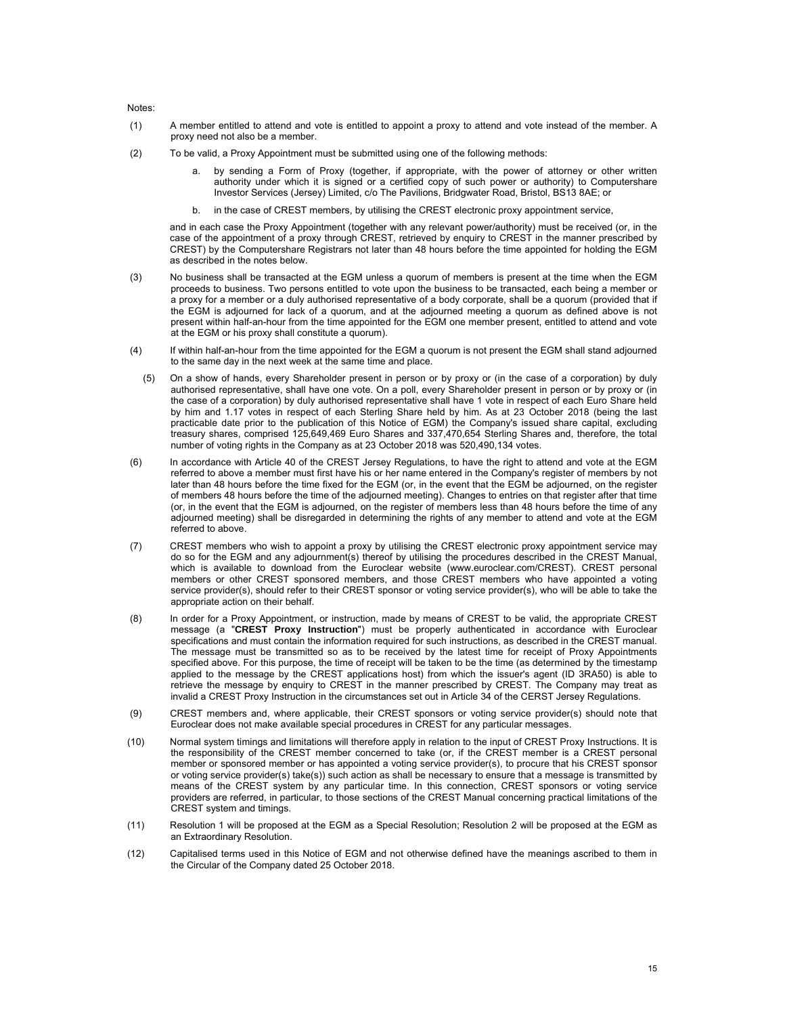Notes:

- (1) A member entitled to attend and vote is entitled to appoint a proxy to attend and vote instead of the member. A proxy need not also be a member.
- (2) To be valid, a Proxy Appointment must be submitted using one of the following methods:
	- by sending a Form of Proxy (together, if appropriate, with the power of attorney or other written authority under which it is signed or a certified copy of such power or authority) to Computershare Investor Services (Jersey) Limited, c/o The Pavilions, Bridgwater Road, Bristol, BS13 8AE; or
	- b. in the case of CREST members, by utilising the CREST electronic proxy appointment service,

and in each case the Proxy Appointment (together with any relevant power/authority) must be received (or, in the case of the appointment of a proxy through CREST, retrieved by enquiry to CREST in the manner prescribed by CREST) by the Computershare Registrars not later than 48 hours before the time appointed for holding the EGM as described in the notes below.

- (3) No business shall be transacted at the EGM unless a quorum of members is present at the time when the EGM proceeds to business. Two persons entitled to vote upon the business to be transacted, each being a member or a proxy for a member or a duly authorised representative of a body corporate, shall be a quorum (provided that if the EGM is adjourned for lack of a quorum, and at the adjourned meeting a quorum as defined above is not present within half-an-hour from the time appointed for the EGM one member present, entitled to attend and vote at the EGM or his proxy shall constitute a quorum).
- (4) If within half-an-hour from the time appointed for the EGM a quorum is not present the EGM shall stand adjourned to the same day in the next week at the same time and place.
- (5) On a show of hands, every Shareholder present in person or by proxy or (in the case of a corporation) by duly authorised representative, shall have one vote. On a poll, every Shareholder present in person or by proxy or (in the case of a corporation) by duly authorised representative shall have 1 vote in respect of each Euro Share held by him and 1.17 votes in respect of each Sterling Share held by him. As at 23 October 2018 (being the last practicable date prior to the publication of this Notice of EGM) the Company's issued share capital, excluding treasury shares, comprised 125,649,469 Euro Shares and 337,470,654 Sterling Shares and, therefore, the total number of voting rights in the Company as at 23 October 2018 was 520,490,134 votes.
- (6) In accordance with Article 40 of the CREST Jersey Regulations, to have the right to attend and vote at the EGM referred to above a member must first have his or her name entered in the Company's register of members by not later than 48 hours before the time fixed for the EGM (or, in the event that the EGM be adjourned, on the register of members 48 hours before the time of the adjourned meeting). Changes to entries on that register after that time (or, in the event that the EGM is adjourned, on the register of members less than 48 hours before the time of any adjourned meeting) shall be disregarded in determining the rights of any member to attend and vote at the EGM referred to above.
- (7) CREST members who wish to appoint a proxy by utilising the CREST electronic proxy appointment service may do so for the EGM and any adjournment(s) thereof by utilising the procedures described in the CREST Manual, which is available to download from the Euroclear website (www.euroclear.com/CREST). CREST personal members or other CREST sponsored members, and those CREST members who have appointed a voting service provider(s), should refer to their CREST sponsor or voting service provider(s), who will be able to take the appropriate action on their behalf.
- (8) In order for a Proxy Appointment, or instruction, made by means of CREST to be valid, the appropriate CREST message (a "**CREST Proxy Instruction**") must be properly authenticated in accordance with Euroclear specifications and must contain the information required for such instructions, as described in the CREST manual. The message must be transmitted so as to be received by the latest time for receipt of Proxy Appointments specified above. For this purpose, the time of receipt will be taken to be the time (as determined by the timestamp applied to the message by the CREST applications host) from which the issuer's agent (ID 3RA50) is able to retrieve the message by enquiry to CREST in the manner prescribed by CREST. The Company may treat as invalid a CREST Proxy Instruction in the circumstances set out in Article 34 of the CERST Jersey Regulations.
- (9) CREST members and, where applicable, their CREST sponsors or voting service provider(s) should note that Euroclear does not make available special procedures in CREST for any particular messages.
- (10) Normal system timings and limitations will therefore apply in relation to the input of CREST Proxy Instructions. It is the responsibility of the CREST member concerned to take (or, if the CREST member is a CREST personal member or sponsored member or has appointed a voting service provider(s), to procure that his CREST sponsor or voting service provider(s) take(s)) such action as shall be necessary to ensure that a message is transmitted by means of the CREST system by any particular time. In this connection, CREST sponsors or voting service providers are referred, in particular, to those sections of the CREST Manual concerning practical limitations of the CREST system and timings.
- (11) Resolution 1 will be proposed at the EGM as a Special Resolution; Resolution 2 will be proposed at the EGM as an Extraordinary Resolution.
- (12) Capitalised terms used in this Notice of EGM and not otherwise defined have the meanings ascribed to them in the Circular of the Company dated 25 October 2018.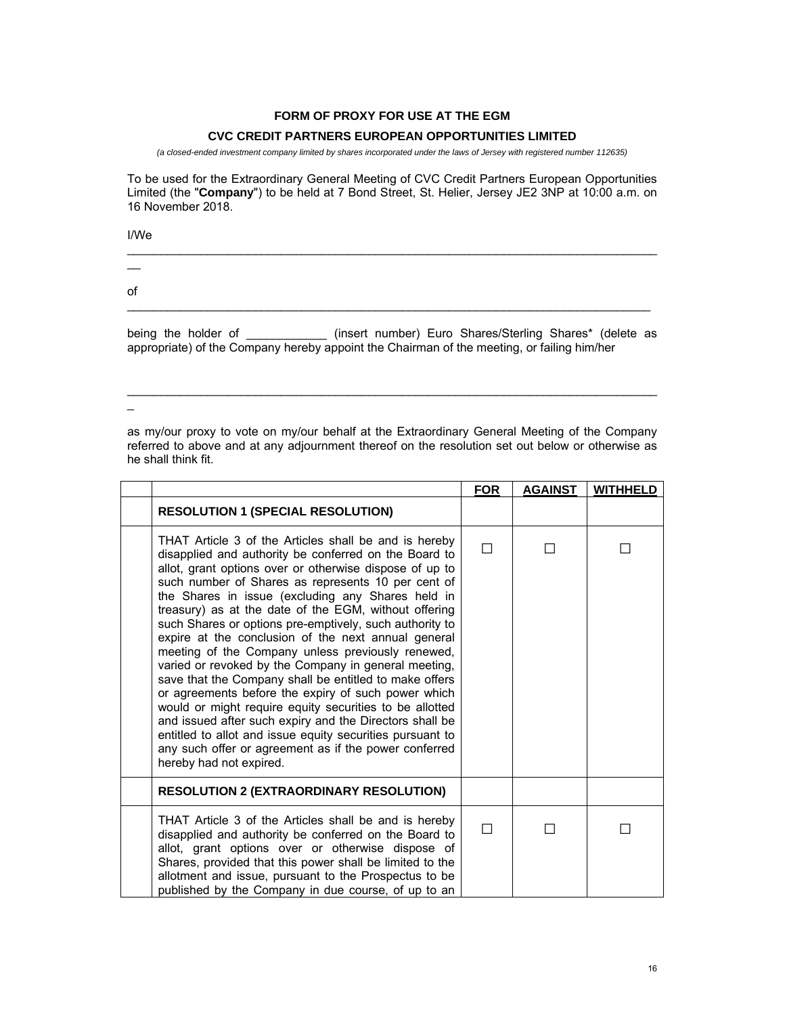## **FORM OF PROXY FOR USE AT THE EGM**

## **CVC CREDIT PARTNERS EUROPEAN OPPORTUNITIES LIMITED**

*(a closed-ended investment company limited by shares incorporated under the laws of Jersey with registered number 112635)* 

To be used for the Extraordinary General Meeting of CVC Credit Partners European Opportunities Limited (the "**Company**") to be held at 7 Bond Street, St. Helier, Jersey JE2 3NP at 10:00 a.m. on 16 November 2018.

I/We

 $\_$  , and the set of the set of the set of the set of the set of the set of the set of the set of the set of the set of the set of the set of the set of the set of the set of the set of the set of the set of the set of th  $\overline{\phantom{0}}$ of  $\_$  , and the state of the state of the state of the state of the state of the state of the state of the state of the state of the state of the state of the state of the state of the state of the state of the state of the

being the holder of \_\_\_\_\_\_\_\_\_\_\_\_\_\_ (insert number) Euro Shares/Sterling Shares\* (delete as appropriate) of the Company hereby appoint the Chairman of the meeting, or failing him/her

 $\_$  , and the set of the set of the set of the set of the set of the set of the set of the set of the set of the set of the set of the set of the set of the set of the set of the set of the set of the set of the set of th

 $\overline{\phantom{0}}$ 

as my/our proxy to vote on my/our behalf at the Extraordinary General Meeting of the Company referred to above and at any adjournment thereof on the resolution set out below or otherwise as he shall think fit.

|                                                                                                                                                                                                                                                                                                                                                                                                                                                                                                                                                                                                                                                                                                                                                                                                                                                                                                                                                                      | <b>FOR</b> | <b>AGAINST</b> | <b>WITHHELD</b> |
|----------------------------------------------------------------------------------------------------------------------------------------------------------------------------------------------------------------------------------------------------------------------------------------------------------------------------------------------------------------------------------------------------------------------------------------------------------------------------------------------------------------------------------------------------------------------------------------------------------------------------------------------------------------------------------------------------------------------------------------------------------------------------------------------------------------------------------------------------------------------------------------------------------------------------------------------------------------------|------------|----------------|-----------------|
| <b>RESOLUTION 1 (SPECIAL RESOLUTION)</b>                                                                                                                                                                                                                                                                                                                                                                                                                                                                                                                                                                                                                                                                                                                                                                                                                                                                                                                             |            |                |                 |
| THAT Article 3 of the Articles shall be and is hereby<br>disapplied and authority be conferred on the Board to<br>allot, grant options over or otherwise dispose of up to<br>such number of Shares as represents 10 per cent of<br>the Shares in issue (excluding any Shares held in<br>treasury) as at the date of the EGM, without offering<br>such Shares or options pre-emptively, such authority to<br>expire at the conclusion of the next annual general<br>meeting of the Company unless previously renewed,<br>varied or revoked by the Company in general meeting,<br>save that the Company shall be entitled to make offers<br>or agreements before the expiry of such power which<br>would or might require equity securities to be allotted<br>and issued after such expiry and the Directors shall be<br>entitled to allot and issue equity securities pursuant to<br>any such offer or agreement as if the power conferred<br>hereby had not expired. | П          |                |                 |
| <b>RESOLUTION 2 (EXTRAORDINARY RESOLUTION)</b>                                                                                                                                                                                                                                                                                                                                                                                                                                                                                                                                                                                                                                                                                                                                                                                                                                                                                                                       |            |                |                 |
| THAT Article 3 of the Articles shall be and is hereby<br>disapplied and authority be conferred on the Board to<br>allot, grant options over or otherwise dispose of<br>Shares, provided that this power shall be limited to the<br>allotment and issue, pursuant to the Prospectus to be<br>published by the Company in due course, of up to an                                                                                                                                                                                                                                                                                                                                                                                                                                                                                                                                                                                                                      | П          |                |                 |